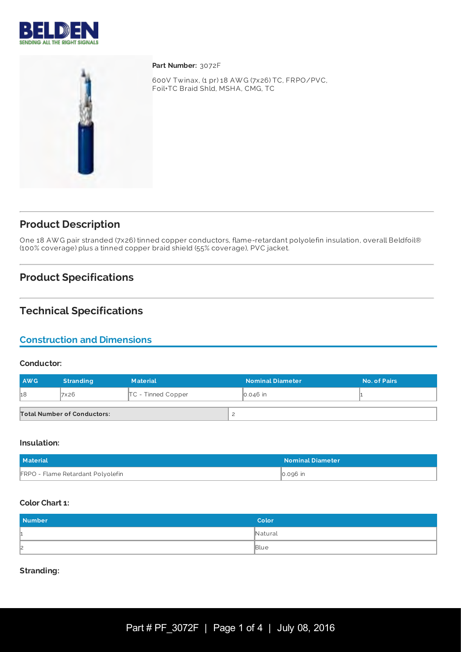



**Part Number:** 3072F

600V Twinax, (1 pr) 18 AW G (7x26) TC, FRPO/PVC, Foil+TC Braid Shld, MSHA, CMG, TC

# **Product Description**

One 18 AW G pair stranded (7x26) tinned copper conductors, flame-retardant polyolefin insulation, overall Beldfoil® (100% coverage) plus a tinned copper braid shield (55% coverage), PVC jacket.

# **Product Specifications**

# **Technical Specifications**

### **Construction and Dimensions**

#### **Conductor:**

| <b>AWG</b> | <b>Stranding</b>                   | <b>Material</b>      | <b>Nominal Diameter</b> | No. of Pairs |
|------------|------------------------------------|----------------------|-------------------------|--------------|
| h8         | 7x26                               | $TC$ - Tinned Copper | $\vert$ 0.046 in        |              |
|            | <b>Total Number of Conductors:</b> |                      |                         |              |

#### **Insulation:**

| Material                                 | <b>Nominal Diameter</b> |
|------------------------------------------|-------------------------|
| <b>FRPO - Flame Retardant Polyolefin</b> | $\vert$ 0.096 in        |

#### **Color Chart 1:**

| <b>Number</b> | Color   |
|---------------|---------|
| ш.            | Natural |
| 2             | Blue    |

**Stranding:**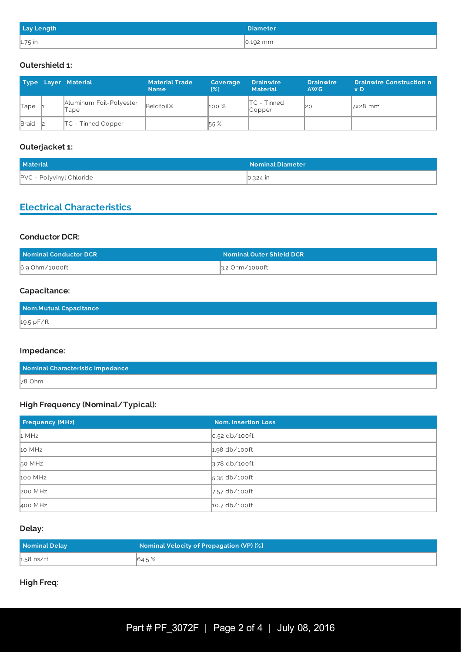| <b>Lay Length</b> | <b>Diameter</b>  |
|-------------------|------------------|
| $1.75$ in         | $\vert$ 0.192 mm |

### **Outershield 1:**

|              | Type Layer Material             | <b>Material Trade</b><br><b>Name</b> | Coverage<br>$\left[\% \right]$ | <b>Drainwire</b><br><b>Material</b> | <b>Drainwire</b><br>AW <sub>G</sub> | <b>Drainwire Construction n</b><br>x <sub>D</sub> |
|--------------|---------------------------------|--------------------------------------|--------------------------------|-------------------------------------|-------------------------------------|---------------------------------------------------|
| Tape         | Aluminum Foil-Polyester<br>Tape | Beldfoil®                            | 100%                           | $\mathsf{ITC}$ - Tinned<br>Copper   | 2C                                  | $\sqrt{7}x28$ mm                                  |
| <b>Braid</b> | <b>TC</b> - Tinned Copper       |                                      | 55 %                           |                                     |                                     |                                                   |

### **Outerjacket 1:**

| Material                        | <b>Nominal Diameter</b> |
|---------------------------------|-------------------------|
| <b>PVC - Polyvinyl Chloride</b> | 0.324 in                |

# **Electrical Characteristics**

### **Conductor DCR:**

| Nominal Conductor DCR | <b>Nominal Outer Shield DCR</b> |
|-----------------------|---------------------------------|
| 6.9 Ohm/1000ft        | 3.2 Ohm/1000ft                  |

### **Capacitance:**

| Nom.Mutual Capacitance |  |
|------------------------|--|
| 19.5 pF/ft             |  |

#### **Impedance:**

| Nominal Characteristic Impedance |  |
|----------------------------------|--|
| $78$ Ohm                         |  |

### **High Frequency (Nominal/Typical):**

| <b>Frequency [MHz]</b> | <b>Nom. Insertion Loss</b> |
|------------------------|----------------------------|
| 1 MHz                  | $\vert$ 0.52 db/100ft      |
| 10 MHz                 | $1.98$ db/100ft            |
| 50 MHz                 | $3.78$ db/100ft            |
| 100 MHz                | 5.35 db/100ft              |
| 200 MHz                | $7.57$ db/100ft            |
| 400 MHz                | $10.7$ db/100ft            |

### **Delay:**

| Nominal Delay | <b>Nominal Velocity of Propagation (VP) [%]</b> |
|---------------|-------------------------------------------------|
| $1.58$ ns/ft  | 64.5 %                                          |

### **High Freq:**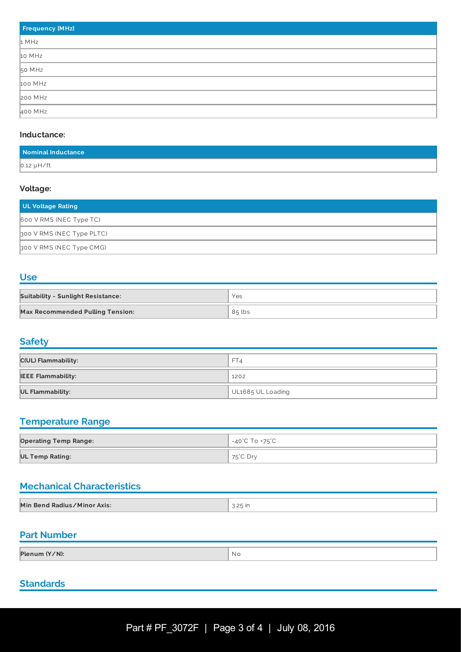| <b>Frequency [MHz]</b> |
|------------------------|
| 1 MHz                  |
| 10 MHz                 |
| 50 MHz                 |
| 100 MHz                |
| 200 MHz                |
| 400 MHz                |

#### **Inductance:**

| Nominal Inductance |  |
|--------------------|--|
| $0.12 \mu H / ft$  |  |

#### **Voltage:**

| UL Voltage Rating         |
|---------------------------|
| 600 V RMS (NEC Type TC)   |
| 300 V RMS (NEC Type PLTC) |
| 300 V RMS (NEC Type CMG)  |

### **Use**

| <b>Suitability - Sunlight Resistance:</b> | Yes      |
|-------------------------------------------|----------|
| <b>Max Recommended Pulling Tension:</b>   | $85$ lbs |

# **Safety**

| <b>C(UL) Flammability:</b> | FT4               |
|----------------------------|-------------------|
| <b>IEEE Flammability:</b>  | 1202              |
| <b>UL Flammability:</b>    | UL1685 UL Loading |

# **Temperature Range**

| <b>Operating Temp Range:</b> | -40°C To +75°C |
|------------------------------|----------------|
| UL Temp Rating:              | ່ 75°C Dr∨     |

# **Mechanical Characteristics**

| Min Bend Radius/Minor Axis: | . .… ت∟… |
|-----------------------------|----------|

# **Part Number**

| Plenum (Y/N):<br>- No |
|-----------------------|
|-----------------------|

# **Standards**